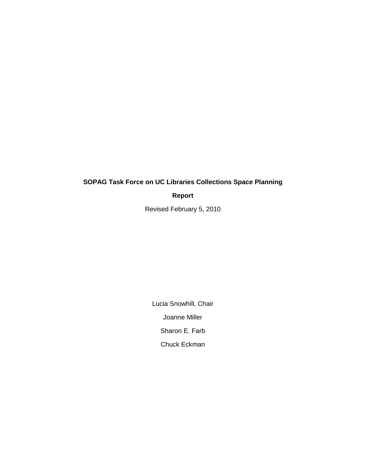# **SOPAG Task Force on UC Libraries Collections Space Planning**

**Report**

Revised February 5, 2010

Lucia Snowhill, Chair Joanne Miller Sharon E. Farb Chuck Eckman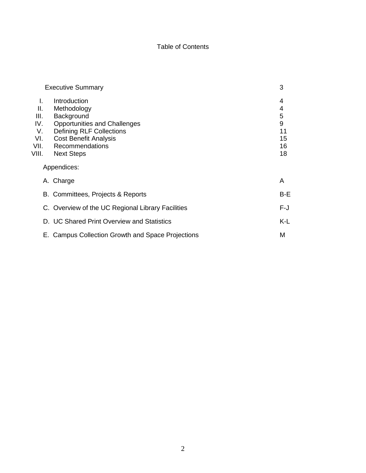## Table of Contents

| <b>Executive Summary</b>                      |                                                                                                                                                                               | 3                                  |
|-----------------------------------------------|-------------------------------------------------------------------------------------------------------------------------------------------------------------------------------|------------------------------------|
| L.<br>ΙΙ.<br>III.<br>IV.<br>V.<br>VI.<br>VII. | Introduction<br>Methodology<br>Background<br><b>Opportunities and Challenges</b><br><b>Defining RLF Collections</b><br><b>Cost Benefit Analysis</b><br><b>Recommendations</b> | 4<br>4<br>5<br>9<br>11<br>15<br>16 |
| VIII.                                         | <b>Next Steps</b>                                                                                                                                                             | 18                                 |
| Appendices:                                   |                                                                                                                                                                               |                                    |
|                                               | A. Charge                                                                                                                                                                     | A                                  |
|                                               | B. Committees, Projects & Reports                                                                                                                                             | $B-E$                              |
|                                               | C. Overview of the UC Regional Library Facilities                                                                                                                             | $F-J$                              |
|                                               | D. UC Shared Print Overview and Statistics                                                                                                                                    | K-L                                |
|                                               | E. Campus Collection Growth and Space Projections                                                                                                                             | Μ                                  |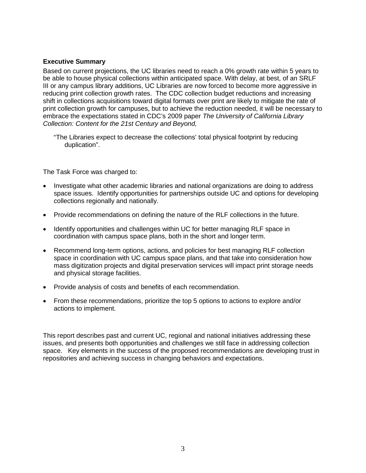### **Executive Summary**

Based on current projections, the UC libraries need to reach a 0% growth rate within 5 years to be able to house physical collections within anticipated space. With delay, at best, of an SRLF III or any campus library additions, UC Libraries are now forced to become more aggressive in reducing print collection growth rates. The CDC collection budget reductions and increasing shift in collections acquisitions toward digital formats over print are likely to mitigate the rate of print collection growth for campuses, but to achieve the reduction needed, it will be necessary to embrace the expectations stated in CDC's 2009 paper *The University of California Library Collection: Content for the 21st Century and Beyond,*

"The Libraries expect to decrease the collections' total physical footprint by reducing duplication".

The Task Force was charged to:

- Investigate what other academic libraries and national organizations are doing to address space issues. Identify opportunities for partnerships outside UC and options for developing collections regionally and nationally.
- Provide recommendations on defining the nature of the RLF collections in the future.
- Identify opportunities and challenges within UC for better managing RLF space in coordination with campus space plans, both in the short and longer term.
- Recommend long-term options, actions, and policies for best managing RLF collection space in coordination with UC campus space plans, and that take into consideration how mass digitization projects and digital preservation services will impact print storage needs and physical storage facilities.
- Provide analysis of costs and benefits of each recommendation.
- From these recommendations, prioritize the top 5 options to actions to explore and/or actions to implement.

This report describes past and current UC, regional and national initiatives addressing these issues, and presents both opportunities and challenges we still face in addressing collection space. Key elements in the success of the proposed recommendations are developing trust in repositories and achieving success in changing behaviors and expectations.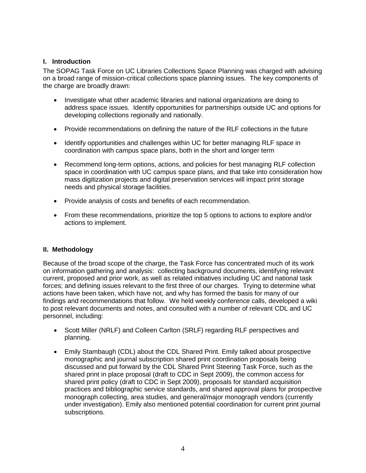### **I. Introduction**

The SOPAG Task Force on UC Libraries Collections Space Planning was charged with advising on a broad range of mission-critical collections space planning issues. The key components of the charge are broadly drawn:

- Investigate what other academic libraries and national organizations are doing to address space issues. Identify opportunities for partnerships outside UC and options for developing collections regionally and nationally.
- Provide recommendations on defining the nature of the RLF collections in the future
- Identify opportunities and challenges within UC for better managing RLF space in coordination with campus space plans, both in the short and longer term
- Recommend long-term options, actions, and policies for best managing RLF collection space in coordination with UC campus space plans, and that take into consideration how mass digitization projects and digital preservation services will impact print storage needs and physical storage facilities.
- Provide analysis of costs and benefits of each recommendation.
- From these recommendations, prioritize the top 5 options to actions to explore and/or actions to implement.

### **II. Methodology**

Because of the broad scope of the charge, the Task Force has concentrated much of its work on information gathering and analysis: collecting background documents, identifying relevant current, proposed and prior work, as well as related initiatives including UC and national task forces; and defining issues relevant to the first three of our charges. Trying to determine what actions have been taken, which have not, and why has formed the basis for many of our findings and recommendations that follow. We held weekly conference calls, developed a wiki to post relevant documents and notes, and consulted with a number of relevant CDL and UC personnel, including:

- Scott Miller (NRLF) and Colleen Carlton (SRLF) regarding RLF perspectives and planning.
- Emily Stambaugh (CDL) about the CDL Shared Print. Emily talked about prospective monographic and journal subscription shared print coordination proposals being discussed and put forward by the CDL Shared Print Steering Task Force, such as the shared print in place proposal (draft to CDC in Sept 2009), the common access for shared print policy (draft to CDC in Sept 2009), proposals for standard acquisition practices and bibliographic service standards, and shared approval plans for prospective monograph collecting, area studies, and general/major monograph vendors (currently under investigation). Emily also mentioned potential coordination for current print journal subscriptions.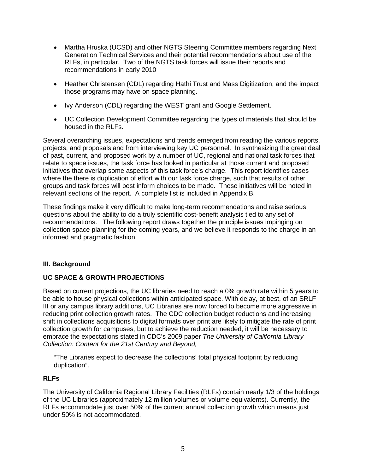- Martha Hruska (UCSD) and other NGTS Steering Committee members regarding Next Generation Technical Services and their potential recommendations about use of the RLFs, in particular. Two of the NGTS task forces will issue their reports and recommendations in early 2010
- Heather Christensen (CDL) regarding Hathi Trust and Mass Digitization, and the impact those programs may have on space planning.
- Ivy Anderson (CDL) regarding the WEST grant and Google Settlement.
- UC Collection Development Committee regarding the types of materials that should be housed in the RLFs.

Several overarching issues, expectations and trends emerged from reading the various reports, projects, and proposals and from interviewing key UC personnel. In synthesizing the great deal of past, current, and proposed work by a number of UC, regional and national task forces that relate to space issues, the task force has looked in particular at those current and proposed initiatives that overlap some aspects of this task force's charge. This report identifies cases where the there is duplication of effort with our task force charge, such that results of other groups and task forces will best inform choices to be made. These initiatives will be noted in relevant sections of the report. A complete list is included in Appendix B.

These findings make it very difficult to make long-term recommendations and raise serious questions about the ability to do a truly scientific cost-benefit analysis tied to any set of recommendations. The following report draws together the principle issues impinging on collection space planning for the coming years, and we believe it responds to the charge in an informed and pragmatic fashion.

### **III. Background**

### **UC SPACE & GROWTH PROJECTIONS**

Based on current projections, the UC libraries need to reach a 0% growth rate within 5 years to be able to house physical collections within anticipated space. With delay, at best, of an SRLF III or any campus library additions, UC Libraries are now forced to become more aggressive in reducing print collection growth rates. The CDC collection budget reductions and increasing shift in collections acquisitions to digital formats over print are likely to mitigate the rate of print collection growth for campuses, but to achieve the reduction needed, it will be necessary to embrace the expectations stated in CDC's 2009 paper *The University of California Library Collection: Content for the 21st Century and Beyond,*

"The Libraries expect to decrease the collections' total physical footprint by reducing duplication".

### **RLFs**

The University of California Regional Library Facilities (RLFs) contain nearly 1/3 of the holdings of the UC Libraries (approximately 12 million volumes or volume equivalents). Currently, the RLFs accommodate just over 50% of the current annual collection growth which means just under 50% is not accommodated.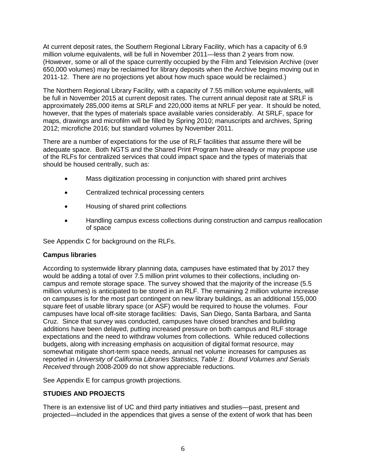At current deposit rates, the Southern Regional Library Facility, which has a capacity of 6.9 million volume equivalents, will be full in November 2011—less than 2 years from now. (However, some or all of the space currently occupied by the Film and Television Archive (over 650,000 volumes) may be reclaimed for library deposits when the Archive begins moving out in 2011-12. There are no projections yet about how much space would be reclaimed.)

The Northern Regional Library Facility, with a capacity of 7.55 million volume equivalents, will be full in November 2015 at current deposit rates. The current annual deposit rate at SRLF is approximately 285,000 items at SRLF and 220,000 items at NRLF per year. It should be noted, however, that the types of materials space available varies considerably. At SRLF, space for maps, drawings and microfilm will be filled by Spring 2010; manuscripts and archives, Spring 2012; microfiche 2016; but standard volumes by November 2011.

There are a number of expectations for the use of RLF facilities that assume there will be adequate space. Both NGTS and the Shared Print Program have already or may propose use of the RLFs for centralized services that could impact space and the types of materials that should be housed centrally, such as:

- Mass digitization processing in conjunction with shared print archives
- Centralized technical processing centers
- Housing of shared print collections
- Handling campus excess collections during construction and campus reallocation of space

See Appendix C for background on the RLFs.

### **Campus libraries**

According to systemwide library planning data*,* campuses have estimated that by 2017 they would be adding a total of over 7.5 million print volumes to their collections, including oncampus and remote storage space. The survey showed that the majority of the increase (5.5 million volumes) is anticipated to be stored in an RLF. The remaining 2 million volume increase on campuses is for the most part contingent on new library buildings, as an additional 155,000 square feet of usable library space (or ASF) would be required to house the volumes. Four campuses have local off-site storage facilities: Davis, San Diego, Santa Barbara, and Santa Cruz. Since that survey was conducted, campuses have closed branches and building additions have been delayed, putting increased pressure on both campus and RLF storage expectations and the need to withdraw volumes from collections. While reduced collections budgets, along with increasing emphasis on acquisition of digital format resource, may somewhat mitigate short-term space needs, annual net volume increases for campuses as reported in *University of California Libraries Statistics, Table 1: Bound Volumes and Serials Received* through 2008-2009 do not show appreciable reductions.

See Appendix E for campus growth projections.

### **STUDIES AND PROJECTS**

There is an extensive list of UC and third party initiatives and studies—past, present and projected—included in the appendices that gives a sense of the extent of work that has been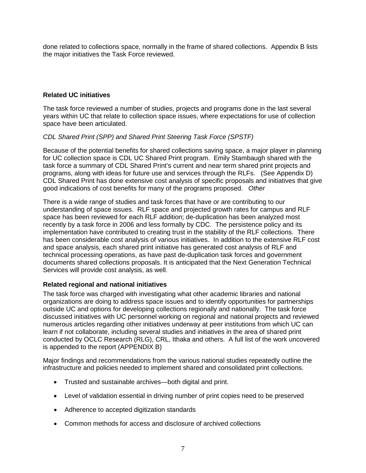done related to collections space, normally in the frame of shared collections. Appendix B lists the major initiatives the Task Force reviewed.

### **Related UC initiatives**

The task force reviewed a number of studies, projects and programs done in the last several years within UC that relate to collection space issues, where expectations for use of collection space have been articulated.

### *CDL Shared Print (SPP) and Shared Print Steering Task Force (SPSTF)*

Because of the potential benefits for shared collections saving space, a major player in planning for UC collection space is CDL UC Shared Print program. Emily Stambaugh shared with the task force a summary of CDL Shared Print's current and near term shared print projects and programs, along with ideas for future use and services through the RLFs. (See Appendix D) CDL Shared Print has done extensive cost analysis of specific proposals and initiatives that give good indications of cost benefits for many of the programs proposed. *Other* 

There is a wide range of studies and task forces that have or are contributing to our understanding of space issues. RLF space and projected growth rates for campus and RLF space has been reviewed for each RLF addition; de-duplication has been analyzed most recently by a task force in 2006 and less formally by CDC. The persistence policy and its implementation have contributed to creating trust in the stability of the RLF collections. There has been considerable cost analysis of various initiatives. In addition to the extensive RLF cost and space analysis, each shared print initiative has generated cost analysis of RLF and technical processing operations, as have past de-duplication task forces and government documents shared collections proposals. It is anticipated that the Next Generation Technical Services will provide cost analysis, as well.

## **Related regional and national initiatives**

The task force was charged with investigating what other academic libraries and national organizations are doing to address space issues and to identify opportunities for partnerships outside UC and options for developing collections regionally and nationally. The task force discussed initiatives with UC personnel working on regional and national projects and reviewed numerous articles regarding other initiatives underway at peer institutions from which UC can learn if not collaborate, including several studies and initiatives in the area of shared print conducted by OCLC Research (RLG), CRL, Ithaka and others. A full list of the work uncovered is appended to the report (APPENDIX B)

Major findings and recommendations from the various national studies repeatedly outline the infrastructure and policies needed to implement shared and consolidated print collections.

- Trusted and sustainable archives—both digital and print.
- Level of validation essential in driving number of print copies need to be preserved
- Adherence to accepted digitization standards
- Common methods for access and disclosure of archived collections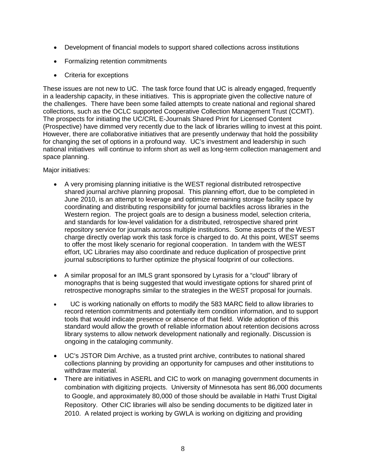- Development of financial models to support shared collections across institutions
- Formalizing retention commitments
- Criteria for exceptions

These issues are not new to UC. The task force found that UC is already engaged, frequently in a leadership capacity, in these initiatives. This is appropriate given the collective nature of the challenges. There have been some failed attempts to create national and regional shared collections, such as the OCLC supported Cooperative Collection Management Trust (CCMT). The prospects for initiating the UC/CRL E-Journals Shared Print for Licensed Content (Prospective) have dimmed very recently due to the lack of libraries willing to invest at this point. However, there are collaborative initiatives that are presently underway that hold the possibility for changing the set of options in a profound way. UC's investment and leadership in such national initiatives will continue to inform short as well as long-term collection management and space planning.

Major initiatives:

- A very promising planning initiative is the WEST regional distributed retrospective shared journal archive planning proposal. This planning effort, due to be completed in June 2010, is an attempt to leverage and optimize remaining storage facility space by coordinating and distributing responsibility for journal backfiles across libraries in the Western region. The project goals are to design a business model, selection criteria, and standards for low-level validation for a distributed, retrospective shared print repository service for journals across multiple institutions. Some aspects of the WEST charge directly overlap work this task force is charged to do. At this point, WEST seems to offer the most likely scenario for regional cooperation. In tandem with the WEST effort, UC Libraries may also coordinate and reduce duplication of prospective print journal subscriptions to further optimize the physical footprint of our collections.
- A similar proposal for an IMLS grant sponsored by Lyrasis for a "cloud" library of monographs that is being suggested that would investigate options for shared print of retrospective monographs similar to the strategies in the WEST proposal for journals.
- UC is working nationally on efforts to modify the 583 MARC field to allow libraries to record retention commitments and potentially item condition information, and to support tools that would indicate presence or absence of that field. Wide adoption of this standard would allow the growth of reliable information about retention decisions across library systems to allow network development nationally and regionally. Discussion is ongoing in the cataloging community.
- UC's JSTOR Dim Archive, as a trusted print archive, contributes to national shared collections planning by providing an opportunity for campuses and other institutions to withdraw material.
- There are initiatives in ASERL and CIC to work on managing government documents in combination with digitizing projects. University of Minnesota has sent 86,000 documents to Google, and approximately 80,000 of those should be available in Hathi Trust Digital Repository. Other CIC libraries will also be sending documents to be digitized later in 2010. A related project is working by GWLA is working on digitizing and providing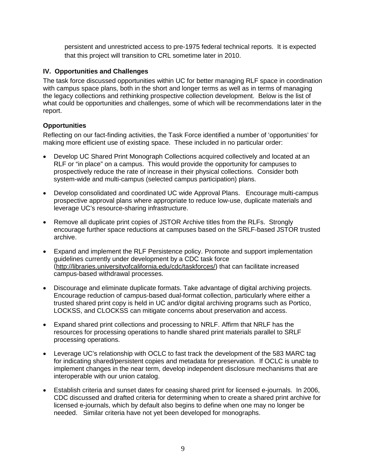persistent and unrestricted access to pre-1975 federal technical reports. It is expected that this project will transition to CRL sometime later in 2010.

### **IV. Opportunities and Challenges**

The task force discussed opportunities within UC for better managing RLF space in coordination with campus space plans, both in the short and longer terms as well as in terms of managing the legacy collections and rethinking prospective collection development. Below is the list of what could be opportunities and challenges, some of which will be recommendations later in the report.

### **Opportunities**

Reflecting on our fact-finding activities, the Task Force identified a number of 'opportunities' for making more efficient use of existing space. These included in no particular order:

- Develop UC Shared Print Monograph Collections acquired collectively and located at an RLF or "in place" on a campus. This would provide the opportunity for campuses to prospectively reduce the rate of increase in their physical collections. Consider both system-wide and multi-campus (selected campus participation) plans.
- Develop consolidated and coordinated UC wide Approval Plans. Encourage multi-campus prospective approval plans where appropriate to reduce low-use, duplicate materials and leverage UC's resource-sharing infrastructure.
- Remove all duplicate print copies of JSTOR Archive titles from the RLFs. Strongly encourage further space reductions at campuses based on the SRLF-based JSTOR trusted archive.
- Expand and implement the RLF Persistence policy. Promote and support implementation guidelines currently under development by a CDC task force [\(http://libraries.universityofcalifornia.edu/cdc/taskforces/\)](http://libraries.universityofcalifornia.edu/cdc/taskforces/) that can facilitate increased campus-based withdrawal processes.
- Discourage and eliminate duplicate formats. Take advantage of digital archiving projects. Encourage reduction of campus-based dual-format collection, particularly where either a trusted shared print copy is held in UC and/or digital archiving programs such as Portico, LOCKSS, and CLOCKSS can mitigate concerns about preservation and access.
- Expand shared print collections and processing to NRLF. Affirm that NRLF has the resources for processing operations to handle shared print materials parallel to SRLF processing operations.
- Leverage UC's relationship with OCLC to fast track the development of the 583 MARC tag for indicating shared/persistent copies and metadata for preservation. If OCLC is unable to implement changes in the near term, develop independent disclosure mechanisms that are interoperable with our union catalog.
- Establish criteria and sunset dates for ceasing shared print for licensed e-journals. In 2006, CDC discussed and drafted criteria for determining when to create a shared print archive for licensed e-journals, which by default also begins to define when one may no longer be needed. Similar criteria have not yet been developed for monographs.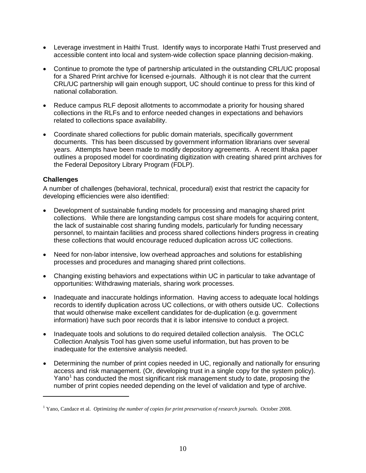- Leverage investment in Haithi Trust. Identify ways to incorporate Hathi Trust preserved and accessible content into local and system-wide collection space planning decision-making.
- Continue to promote the type of partnership articulated in the outstanding CRL/UC proposal for a Shared Print archive for licensed e-journals. Although it is not clear that the current CRL/UC partnership will gain enough support, UC should continue to press for this kind of national collaboration.
- Reduce campus RLF deposit allotments to accommodate a priority for housing shared collections in the RLFs and to enforce needed changes in expectations and behaviors related to collections space availability.
- Coordinate shared collections for public domain materials, specifically government documents. This has been discussed by government information librarians over several years. Attempts have been made to modify depository agreements. A recent Ithaka paper outlines a proposed model for coordinating digitization with creating shared print archives for the Federal Depository Library Program (FDLP).

### **Challenges**

 $\overline{a}$ 

A number of challenges (behavioral, technical, procedural) exist that restrict the capacity for developing efficiencies were also identified:

- Development of sustainable funding models for processing and managing shared print collections. While there are longstanding campus cost share models for acquiring content, the lack of sustainable cost sharing funding models, particularly for funding necessary personnel, to maintain facilities and process shared collections hinders progress in creating these collections that would encourage reduced duplication across UC collections.
- Need for non-labor intensive, low overhead approaches and solutions for establishing processes and procedures and managing shared print collections.
- Changing existing behaviors and expectations within UC in particular to take advantage of opportunities: Withdrawing materials, sharing work processes.
- Inadequate and inaccurate holdings information. Having access to adequate local holdings records to identify duplication across UC collections, or with others outside UC. Collections that would otherwise make excellent candidates for de-duplication (e.g. government information) have such poor records that it is labor intensive to conduct a project.
- Inadequate tools and solutions to do required detailed collection analysis. The OCLC Collection Analysis Tool has given some useful information, but has proven to be inadequate for the extensive analysis needed.
- Determining the number of print copies needed in UC, regionally and nationally for ensuring access and risk management. (Or, developing trust in a single copy for the system policy). Yano<sup>[1](#page-9-0)</sup> has conducted the most significant risk management study to date, proposing the number of print copies needed depending on the level of validation and type of archive.

<span id="page-9-0"></span><sup>1</sup> Yano, Candace et al. *Optimizing the number of copies for print preservation of research journals.* October 2008.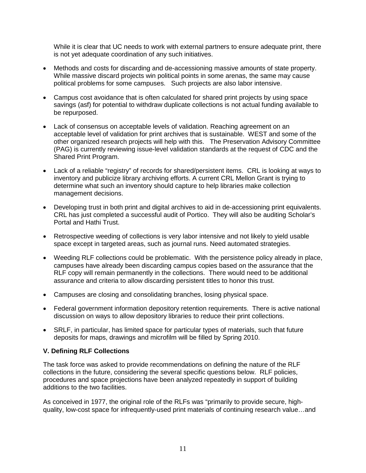While it is clear that UC needs to work with external partners to ensure adequate print, there is not yet adequate coordination of any such initiatives.

- Methods and costs for discarding and de-accessioning massive amounts of state property. While massive discard projects win political points in some arenas, the same may cause political problems for some campuses. Such projects are also labor intensive.
- Campus cost avoidance that is often calculated for shared print projects by using space savings (asf) for potential to withdraw duplicate collections is not actual funding available to be repurposed.
- Lack of consensus on acceptable levels of validation. Reaching agreement on an acceptable level of validation for print archives that is sustainable. WEST and some of the other organized research projects will help with this. The Preservation Advisory Committee (PAG) is currently reviewing issue-level validation standards at the request of CDC and the Shared Print Program.
- Lack of a reliable "registry" of records for shared/persistent items. CRL is looking at ways to inventory and publicize library archiving efforts. A current CRL Mellon Grant is trying to determine what such an inventory should capture to help libraries make collection management decisions.
- Developing trust in both print and digital archives to aid in de-accessioning print equivalents. CRL has just completed a successful audit of Portico. They will also be auditing Scholar's Portal and Hathi Trust.
- Retrospective weeding of collections is very labor intensive and not likely to yield usable space except in targeted areas, such as journal runs. Need automated strategies.
- Weeding RLF collections could be problematic. With the persistence policy already in place, campuses have already been discarding campus copies based on the assurance that the RLF copy will remain permanently in the collections. There would need to be additional assurance and criteria to allow discarding persistent titles to honor this trust.
- Campuses are closing and consolidating branches, losing physical space.
- Federal government information depository retention requirements. There is active national discussion on ways to allow depository libraries to reduce their print collections.
- SRLF, in particular, has limited space for particular types of materials, such that future deposits for maps, drawings and microfilm will be filled by Spring 2010.

### **V. Defining RLF Collections**

The task force was asked to provide recommendations on defining the nature of the RLF collections in the future, considering the several specific questions below. RLF policies, procedures and space projections have been analyzed repeatedly in support of building additions to the two facilities.

As conceived in 1977, the original role of the RLFs was "primarily to provide secure, highquality, low-cost space for infrequently-used print materials of continuing research value…and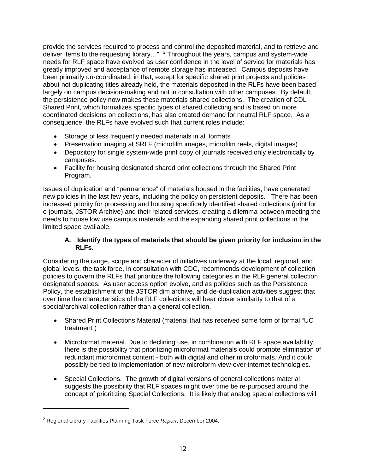provide the services required to process and control the deposited material, and to retrieve and deliver items to the requesting library..."  $2$  Throughout the years, campus and system-wide needs for RLF space have evolved as user confidence in the level of service for materials has greatly improved and acceptance of remote storage has increased. Campus deposits have been primarily un-coordinated, in that, except for specific shared print projects and policies about not duplicating titles already held, the materials deposited in the RLFs have been based largely on campus decision-making and not in consultation with other campuses. By default, the persistence policy now makes these materials shared collections. The creation of CDL Shared Print, which formalizes specific types of shared collecting and is based on more coordinated decisions on collections, has also created demand for neutral RLF space. As a consequence, the RLFs have evolved such that current roles include:

- Storage of less frequently needed materials in all formats
- Preservation imaging at SRLF (microfilm images, microfilm reels, digital images)
- Depository for single system-wide print copy of journals received only electronically by campuses.
- Facility for housing designated shared print collections through the Shared Print Program.

Issues of duplication and "permanence" of materials housed in the facilities, have generated new policies in the last few years, including the policy on persistent deposits. There has been increased priority for processing and housing specifically identified shared collections (print for e-journals, JSTOR Archive) and their related services, creating a dilemma between meeting the needs to house low use campus materials and the expanding shared print collections in the limited space available.

### **A. Identify the types of materials that should be given priority for inclusion in the RLFs.**

Considering the range, scope and character of initiatives underway at the local, regional, and global levels, the task force, in consultation with CDC, recommends development of collection policies to govern the RLFs that prioritize the following categories in the RLF general collection designated spaces. As user access option evolve, and as policies such as the Persistence Policy, the establishment of the JSTOR dim archive, and de-duplication activities suggest that over time the characteristics of the RLF collections will bear closer similarity to that of a special/archival collection rather than a general collection.

- Shared Print Collections Material (material that has received some form of formal "UC treatment")
- Microformat material. Due to declining use, in combination with RLF space availability, there is the possibility that prioritizing microformat materials could promote elimination of redundant microformat content - both with digital and other microformats. And it could possibly be tied to implementation of new microform view-over-internet technologies.
- Special Collections. The growth of digital versions of general collections material suggests the possibility that RLF spaces might over time be re-purposed around the concept of prioritizing Special Collections. It is likely that analog special collections will

 $\overline{a}$ 

<span id="page-11-0"></span><sup>2</sup> Regional Library Facilities Planning Task Force *Report*, December 2004.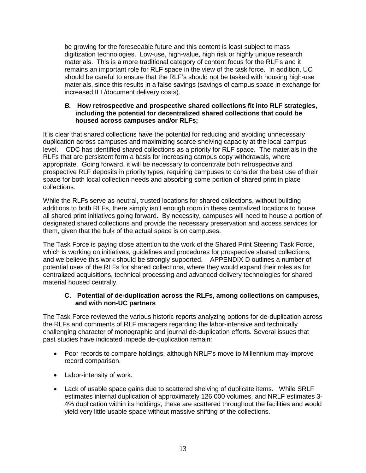be growing for the foreseeable future and this content is least subject to mass digitization technologies. Low-use, high-value, high risk or highly unique research materials. This is a more traditional category of content focus for the RLF's and it remains an important role for RLF space in the view of the task force. In addition, UC should be careful to ensure that the RLF's should not be tasked with housing high-use materials, since this results in a false savings (savings of campus space in exchange for increased ILL/document delivery costs).

#### *B.* **How retrospective and prospective shared collections fit into RLF strategies, including the potential for decentralized shared collections that could be housed across campuses and/or RLFs;**

It is clear that shared collections have the potential for reducing and avoiding unnecessary duplication across campuses and maximizing scarce shelving capacity at the local campus level. CDC has identified shared collections as a priority for RLF space. The materials in the RLFs that are persistent form a basis for increasing campus copy withdrawals, where appropriate. Going forward, it will be necessary to concentrate both retrospective and prospective RLF deposits in priority types, requiring campuses to consider the best use of their space for both local collection needs and absorbing some portion of shared print in place collections.

While the RLFs serve as neutral, trusted locations for shared collections, without building additions to both RLFs, there simply isn't enough room in these centralized locations to house all shared print initiatives going forward. By necessity, campuses will need to house a portion of designated shared collections and provide the necessary preservation and access services for them, given that the bulk of the actual space is on campuses.

The Task Force is paying close attention to the work of the Shared Print Steering Task Force, which is working on initiatives, guidelines and procedures for prospective shared collections, and we believe this work should be strongly supported. APPENDIX D outlines a number of potential uses of the RLFs for shared collections, where they would expand their roles as for centralized acquisitions, technical processing and advanced delivery technologies for shared material housed centrally.

### **C. Potential of de-duplication across the RLFs, among collections on campuses, and with non-UC partners**

The Task Force reviewed the various historic reports analyzing options for de-duplication across the RLFs and comments of RLF managers regarding the labor-intensive and technically challenging character of monographic and journal de-duplication efforts. Several issues that past studies have indicated impede de-duplication remain:

- Poor records to compare holdings, although NRLF's move to Millennium may improve record comparison.
- Labor-intensity of work.
- Lack of usable space gains due to scattered shelving of duplicate items. While SRLF estimates internal duplication of approximately 126,000 volumes, and NRLF estimates 3- 4% duplication within its holdings, these are scattered throughout the facilities and would yield very little usable space without massive shifting of the collections.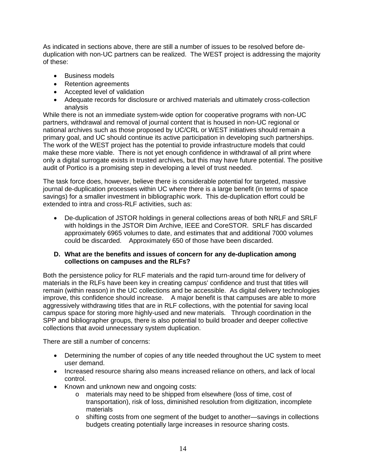As indicated in sections above, there are still a number of issues to be resolved before deduplication with non-UC partners can be realized. The WEST project is addressing the majority of these:

- Business models
- Retention agreements
- Accepted level of validation
- Adequate records for disclosure or archived materials and ultimately cross-collection analysis

While there is not an immediate system-wide option for cooperative programs with non-UC partners, withdrawal and removal of journal content that is housed in non-UC regional or national archives such as those proposed by UC/CRL or WEST initiatives should remain a primary goal, and UC should continue its active participation in developing such partnerships. The work of the WEST project has the potential to provide infrastructure models that could make these more viable. There is not yet enough confidence in withdrawal of all print where only a digital surrogate exists in trusted archives, but this may have future potential. The positive audit of Portico is a promising step in developing a level of trust needed.

The task force does, however, believe there is considerable potential for targeted, massive journal de-duplication processes within UC where there is a large benefit (in terms of space savings) for a smaller investment in bibliographic work. This de-duplication effort could be extended to intra and cross-RLF activities, such as:

• De-duplication of JSTOR holdings in general collections areas of both NRLF and SRLF with holdings in the JSTOR Dim Archive, IEEE and CoreSTOR. SRLF has discarded approximately 6965 volumes to date, and estimates that and additional 7000 volumes could be discarded. Approximately 650 of those have been discarded.

#### **D. What are the benefits and issues of concern for any de-duplication among collections on campuses and the RLFs?**

Both the persistence policy for RLF materials and the rapid turn-around time for delivery of materials in the RLFs have been key in creating campus' confidence and trust that titles will remain (within reason) in the UC collections and be accessible. As digital delivery technologies improve, this confidence should increase. A major benefit is that campuses are able to more aggressively withdrawing titles that are in RLF collections, with the potential for saving local campus space for storing more highly-used and new materials. Through coordination in the SPP and bibliographer groups, there is also potential to build broader and deeper collective collections that avoid unnecessary system duplication.

There are still a number of concerns:

- Determining the number of copies of any title needed throughout the UC system to meet user demand.
- Increased resource sharing also means increased reliance on others, and lack of local control.
- Known and unknown new and ongoing costs:
	- o materials may need to be shipped from elsewhere (loss of time, cost of transportation), risk of loss, diminished resolution from digitization, incomplete materials
	- o shifting costs from one segment of the budget to another—savings in collections budgets creating potentially large increases in resource sharing costs.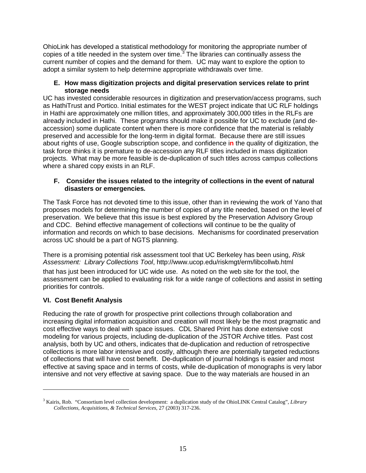OhioLink has developed a statistical methodology for monitoring the appropriate number of copies of a title needed in the system over time. $3$  The libraries can continually assess the current number of copies and the demand for them. UC may want to explore the option to adopt a similar system to help determine appropriate withdrawals over time.

### **E. How mass digitization projects and digital preservation services relate to print storage needs**

UC has invested considerable resources in digitization and preservation/access programs, such as HathiTrust and Portico. Initial estimates for the WEST project indicate that UC RLF holdings in Hathi are approximately one million titles, and approximately 300,000 titles in the RLFs are already included in Hathi. These programs should make it possible for UC to exclude (and deaccession) some duplicate content when there is more confidence that the material is reliably preserved and accessible for the long-term in digital format.Because there are still issues about rights of use, Google subscription scope, and confidence i**n** the quality of digitization, the task force thinks it is premature to de-accession any RLF titles included in mass digitization projects. What may be more feasible is de-duplication of such titles across campus collections where a shared copy exists in an RLF.

### **F. Consider the issues related to the integrity of collections in the event of natural disasters or emergencies***.*

The Task Force has not devoted time to this issue, other than in reviewing the work of Yano that proposes models for determining the number of copies of any title needed, based on the level of preservation. We believe that this issue is best explored by the Preservation Advisory Group and CDC. Behind effective management of collections will continue to be the quality of information and records on which to base decisions. Mechanisms for coordinated preservation across UC should be a part of NGTS planning.

There is a promising potential risk assessment tool that UC Berkeley has been using, *Risk Assessment: Library Collections Tool*, http://www.ucop.edu/riskmgt/erm/libcollwb.html

that has just been introduced for UC wide use. As noted on the web site for the tool, the assessment can be applied to evaluating risk for a wide range of collections and assist in setting priorities for controls.

## **VI. Cost Benefit Analysis**

 $\overline{a}$ 

Reducing the rate of growth for prospective print collections through collaboration and increasing digital information acquisition and creation will most likely be the most pragmatic and cost effective ways to deal with space issues. CDL Shared Print has done extensive cost modeling for various projects, including de-duplication of the JSTOR Archive titles. Past cost analysis, both by UC and others, indicates that de-duplication and reduction of retrospective collections is more labor intensive and costly, although there are potentially targeted reductions of collections that will have cost benefit. De-duplication of journal holdings is easier and most effective at saving space and in terms of costs, while de-duplication of monographs is very labor intensive and not very effective at saving space. Due to the way materials are housed in an

<span id="page-14-0"></span><sup>3</sup> Kairis, Rob. "Consortium level collection development: a duplication study of the OhioLINK Central Catalog", *Library Collections, Acquisitions, & Technical Services*, 27 (2003) 317-236.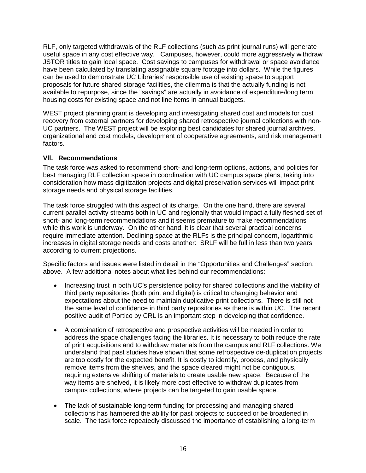RLF, only targeted withdrawals of the RLF collections (such as print journal runs) will generate useful space in any cost effective way. Campuses, however, could more aggressively withdraw JSTOR titles to gain local space. Cost savings to campuses for withdrawal or space avoidance have been calculated by translating assignable square footage into dollars. While the figures can be used to demonstrate UC Libraries' responsible use of existing space to support proposals for future shared storage facilities, the dilemma is that the actually funding is not available to repurpose, since the "savings" are actually in avoidance of expenditure/long term housing costs for existing space and not line items in annual budgets.

WEST project planning grant is developing and investigating shared cost and models for cost recovery from external partners for developing shared retrospective journal collections with non-UC partners. The WEST project will be exploring best candidates for shared journal archives, organizational and cost models, development of cooperative agreements, and risk management factors.

### **Vll. Recommendations**

The task force was asked to recommend short- and long-term options, actions, and policies for best managing RLF collection space in coordination with UC campus space plans, taking into consideration how mass digitization projects and digital preservation services will impact print storage needs and physical storage facilities.

The task force struggled with this aspect of its charge. On the one hand, there are several current parallel activity streams both in UC and regionally that would impact a fully fleshed set of short- and long-term recommendations and it seems premature to make recommendations while this work is underway. On the other hand, it is clear that several practical concerns require immediate attention. Declining space at the RLFs is the principal concern, logarithmic increases in digital storage needs and costs another: SRLF will be full in less than two years according to current projections.

Specific factors and issues were listed in detail in the "Opportunities and Challenges" section, above. A few additional notes about what lies behind our recommendations:

- Increasing trust in both UC's persistence policy for shared collections and the viability of third party repositories (both print and digital) is critical to changing behavior and expectations about the need to maintain duplicative print collections. There is still not the same level of confidence in third party repositories as there is within UC. The recent positive audit of Portico by CRL is an important step in developing that confidence.
- A combination of retrospective and prospective activities will be needed in order to address the space challenges facing the libraries. It is necessary to both reduce the rate of print acquisitions and to withdraw materials from the campus and RLF collections. We understand that past studies have shown that some retrospective de-duplication projects are too costly for the expected benefit. It is costly to identify, process, and physically remove items from the shelves, and the space cleared might not be contiguous, requiring extensive shifting of materials to create usable new space. Because of the way items are shelved, it is likely more cost effective to withdraw duplicates from campus collections, where projects can be targeted to gain usable space.
- The lack of sustainable long-term funding for processing and managing shared collections has hampered the ability for past projects to succeed or be broadened in scale. The task force repeatedly discussed the importance of establishing a long-term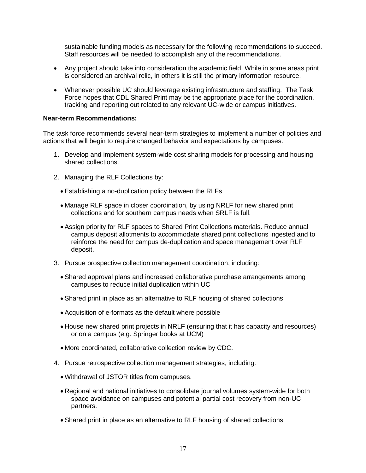sustainable funding models as necessary for the following recommendations to succeed. Staff resources will be needed to accomplish any of the recommendations.

- Any project should take into consideration the academic field. While in some areas print is considered an archival relic, in others it is still the primary information resource.
- Whenever possible UC should leverage existing infrastructure and staffing. The Task Force hopes that CDL Shared Print may be the appropriate place for the coordination, tracking and reporting out related to any relevant UC-wide or campus initiatives.

#### **Near-term Recommendations:**

The task force recommends several near-term strategies to implement a number of policies and actions that will begin to require changed behavior and expectations by campuses.

- 1. Develop and implement system-wide cost sharing models for processing and housing shared collections.
- 2. Managing the RLF Collections by:
	- Establishing a no-duplication policy between the RLFs
	- Manage RLF space in closer coordination, by using NRLF for new shared print collections and for southern campus needs when SRLF is full.
	- Assign priority for RLF spaces to Shared Print Collections materials. Reduce annual campus deposit allotments to accommodate shared print collections ingested and to reinforce the need for campus de-duplication and space management over RLF deposit.
- 3. Pursue prospective collection management coordination, including:
	- Shared approval plans and increased collaborative purchase arrangements among campuses to reduce initial duplication within UC
	- Shared print in place as an alternative to RLF housing of shared collections
	- Acquisition of e-formats as the default where possible
	- House new shared print projects in NRLF (ensuring that it has capacity and resources) or on a campus (e.g. Springer books at UCM)
	- More coordinated, collaborative collection review by CDC.
- 4. Pursue retrospective collection management strategies, including:
	- Withdrawal of JSTOR titles from campuses.
	- Regional and national initiatives to consolidate journal volumes system-wide for both space avoidance on campuses and potential partial cost recovery from non-UC partners.
	- Shared print in place as an alternative to RLF housing of shared collections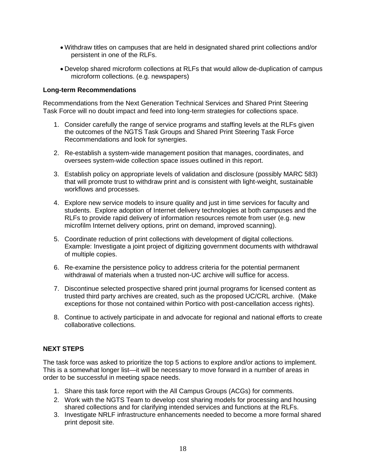- Withdraw titles on campuses that are held in designated shared print collections and/or persistent in one of the RLFs.
- Develop shared microform collections at RLFs that would allow de-duplication of campus microform collections. (e.g. newspapers)

#### **Long-term Recommendations**

Recommendations from the Next Generation Technical Services and Shared Print Steering Task Force will no doubt impact and feed into long-term strategies for collections space.

- 1. Consider carefully the range of service programs and staffing levels at the RLFs given the outcomes of the NGTS Task Groups and Shared Print Steering Task Force Recommendations and look for synergies.
- 2. Re-establish a system-wide management position that manages, coordinates, and oversees system-wide collection space issues outlined in this report.
- 3. Establish policy on appropriate levels of validation and disclosure (possibly MARC 583) that will promote trust to withdraw print and is consistent with light-weight, sustainable workflows and processes.
- 4. Explore new service models to insure quality and just in time services for faculty and students. Explore adoption of Internet delivery technologies at both campuses and the RLFs to provide rapid delivery of information resources remote from user (e.g. new microfilm Internet delivery options, print on demand, improved scanning).
- 5. Coordinate reduction of print collections with development of digital collections. Example: Investigate a joint project of digitizing government documents with withdrawal of multiple copies.
- 6. Re-examine the persistence policy to address criteria for the potential permanent withdrawal of materials when a trusted non-UC archive will suffice for access.
- 7. Discontinue selected prospective shared print journal programs for licensed content as trusted third party archives are created, such as the proposed UC/CRL archive. (Make exceptions for those not contained within Portico with post-cancellation access rights).
- 8. Continue to actively participate in and advocate for regional and national efforts to create collaborative collections.

### **NEXT STEPS**

The task force was asked to prioritize the top 5 actions to explore and/or actions to implement. This is a somewhat longer list—it will be necessary to move forward in a number of areas in order to be successful in meeting space needs.

- 1. Share this task force report with the All Campus Groups (ACGs) for comments.
- 2. Work with the NGTS Team to develop cost sharing models for processing and housing shared collections and for clarifying intended services and functions at the RLFs.
- 3. Investigate NRLF infrastructure enhancements needed to become a more formal shared print deposit site.